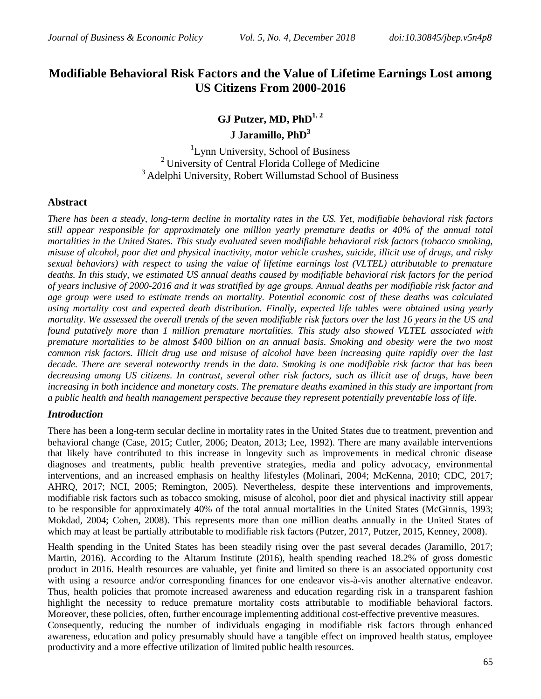# **Modifiable Behavioral Risk Factors and the Value of Lifetime Earnings Lost among US Citizens From 2000-2016**

**GJ Putzer, MD, PhD1, 2**

**J Jaramillo, PhD<sup>3</sup>**

<sup>1</sup>Lynn University, School of Business <sup>2</sup> University of Central Florida College of Medicine <sup>3</sup> Adelphi University, Robert Willumstad School of Business

## **Abstract**

*There has been a steady, long-term decline in mortality rates in the US. Yet, modifiable behavioral risk factors still appear responsible for approximately one million yearly premature deaths or 40% of the annual total mortalities in the United States. This study evaluated seven modifiable behavioral risk factors (tobacco smoking, misuse of alcohol, poor diet and physical inactivity, motor vehicle crashes, suicide, illicit use of drugs, and risky sexual behaviors) with respect to using the value of lifetime earnings lost (VLTEL) attributable to premature deaths. In this study, we estimated US annual deaths caused by modifiable behavioral risk factors for the period of years inclusive of 2000-2016 and it was stratified by age groups. Annual deaths per modifiable risk factor and age group were used to estimate trends on mortality. Potential economic cost of these deaths was calculated using mortality cost and expected death distribution. Finally, expected life tables were obtained using yearly mortality. We assessed the overall trends of the seven modifiable risk factors over the last 16 years in the US and found putatively more than 1 million premature mortalities. This study also showed VLTEL associated with premature mortalities to be almost \$400 billion on an annual basis. Smoking and obesity were the two most common risk factors. Illicit drug use and misuse of alcohol have been increasing quite rapidly over the last decade. There are several noteworthy trends in the data. Smoking is one modifiable risk factor that has been decreasing among US citizens. In contrast, several other risk factors, such as illicit use of drugs, have been increasing in both incidence and monetary costs. The premature deaths examined in this study are important from a public health and health management perspective because they represent potentially preventable loss of life.*

#### *Introduction*

There has been a long-term secular decline in mortality rates in the United States due to treatment, prevention and behavioral change (Case, 2015; Cutler, 2006; Deaton, 2013; Lee, 1992). There are many available interventions that likely have contributed to this increase in longevity such as improvements in medical chronic disease diagnoses and treatments, public health preventive strategies, media and policy advocacy, environmental interventions, and an increased emphasis on healthy lifestyles (Molinari, 2004; McKenna, 2010; CDC, 2017; AHRQ, 2017; NCI, 2005; Remington, 2005). Nevertheless, despite these interventions and improvements, modifiable risk factors such as tobacco smoking, misuse of alcohol, poor diet and physical inactivity still appear to be responsible for approximately 40% of the total annual mortalities in the United States (McGinnis, 1993; Mokdad, 2004; Cohen, 2008). This represents more than one million deaths annually in the United States of which may at least be partially attributable to modifiable risk factors (Putzer, 2017, Putzer, 2015, Kenney, 2008).

Health spending in the United States has been steadily rising over the past several decades (Jaramillo, 2017; Martin, 2016). According to the Altarum Institute (2016), health spending reached 18.2% of gross domestic product in 2016. Health resources are valuable, yet finite and limited so there is an associated opportunity cost with using a resource and/or corresponding finances for one endeavor vis-à-vis another alternative endeavor. Thus, health policies that promote increased awareness and education regarding risk in a transparent fashion highlight the necessity to reduce premature mortality costs attributable to modifiable behavioral factors. Moreover, these policies, often, further encourage implementing additional cost-effective preventive measures.

Consequently, reducing the number of individuals engaging in modifiable risk factors through enhanced awareness, education and policy presumably should have a tangible effect on improved health status, employee productivity and a more effective utilization of limited public health resources.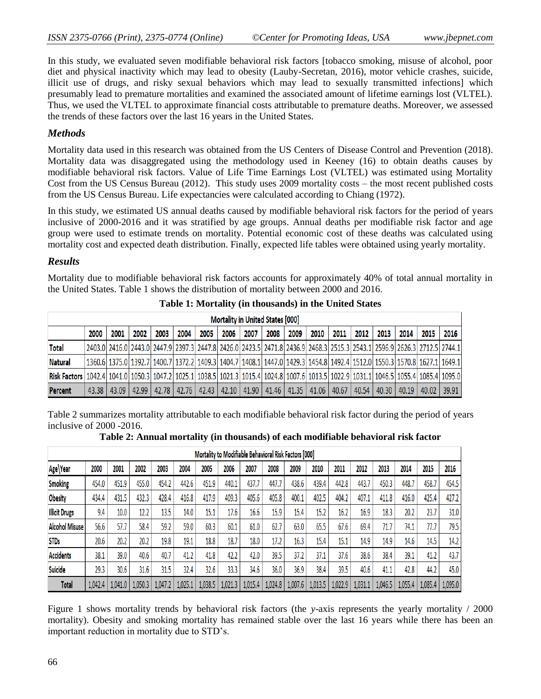In this study, we evaluated seven modifiable behavioral risk factors [tobacco smoking, misuse of alcohol, poor diet and physical inactivity which may lead to obesity (Lauby-Secretan, 2016), motor vehicle crashes, suicide, illicit use of drugs, and risky sexual behaviors which may lead to sexually transmitted infections] which presumably lead to premature mortalities and examined the associated amount of lifetime earnings lost (VLTEL). Thus, we used the VLTEL to approximate financial costs attributable to premature deaths. Moreover, we assessed the trends of these factors over the last 16 years in the United States.

## *Methods*

Mortality data used in this research was obtained from the US Centers of Disease Control and Prevention (2018). Mortality data was disaggregated using the methodology used in Keeney (16) to obtain deaths causes by modifiable behavioral risk factors. Value of Life Time Earnings Lost (VLTEL) was estimated using Mortality Cost from the US Census Bureau (2012). This study uses 2009 mortality costs – the most recent published costs from the US Census Bureau. Life expectancies were calculated according to Chiang (1972).

In this study, we estimated US annual deaths caused by modifiable behavioral risk factors for the period of years inclusive of 2000-2016 and it was stratified by age groups. Annual deaths per modifiable risk factor and age group were used to estimate trends on mortality. Potential economic cost of these deaths was calculated using mortality cost and expected death distribution. Finally, expected life tables were obtained using yearly mortality.

#### *Results*

Mortality due to modifiable behavioral risk factors accounts for approximately 40% of total annual mortality in the United States. Table 1 shows the distribution of mortality between 2000 and 2016.

|                                                                                                                                                                       | Mortality in United States [000] |                   |       |      |      |      |      |      |      |                                                                                               |      |      |      |      |      |       |                                                                                                                                      |
|-----------------------------------------------------------------------------------------------------------------------------------------------------------------------|----------------------------------|-------------------|-------|------|------|------|------|------|------|-----------------------------------------------------------------------------------------------|------|------|------|------|------|-------|--------------------------------------------------------------------------------------------------------------------------------------|
|                                                                                                                                                                       | 2000                             | 2001              | 2002  | 2003 | 2004 | 2005 | 2006 | 2007 | 2008 | 2009                                                                                          | 2010 | 2011 | 2012 | 2013 | 2014 | 2015  | 2016                                                                                                                                 |
| <b>Total</b>                                                                                                                                                          |                                  |                   |       |      |      |      |      |      |      |                                                                                               |      |      |      |      |      |       | 2403.0 2626.3 2712.5 2744.1 2596.9 2626.3 2712.5 2744.1 2742.5 2471.8 2436.9 2468.3 2515.3 2515.3 2543.1 2596.9 2626.3 2712.5 2744.1 |
| <b>Natural</b>                                                                                                                                                        |                                  |                   |       |      |      |      |      |      |      |                                                                                               |      |      |      |      |      |       | 1360.6 1375.0 1392.7 1400.7 1372.2 1409.3 1404.7 1408.1 1447.0 1429.3 1454.8 1492.4 1512.0 1550.3 1570.8 1627.1 1649.1               |
| Risk Factors   1042.4   1041.0   1050.3   1047.2   1025.1   1038.5   1021.3   1015.4   1024.8   1007.6   1013.5   1022.9   1031.1   1046.5   1055.4   1085.4   1095.0 |                                  |                   |       |      |      |      |      |      |      |                                                                                               |      |      |      |      |      |       |                                                                                                                                      |
| <b>Percent</b>                                                                                                                                                        |                                  | $43.38$   $43.09$ | 42.99 |      |      |      |      |      |      | 42.78   42.76   42.43   42.10   41.90   41.46   41.35   41.06   40.67   40.54   40.30   40.19 |      |      |      |      |      | 40.02 | 39.91                                                                                                                                |

**Table 1: Mortality (in thousands) in the United States**

Table 2 summarizes mortality attributable to each modifiable behavioral risk factor during the period of years inclusive of 2000 -2016.

|                       | Mortality to Modifiable Behavioral Risk Factors [000] |         |         |         |         |         |         |         |         |         |         |         |         |         |         |         |         |
|-----------------------|-------------------------------------------------------|---------|---------|---------|---------|---------|---------|---------|---------|---------|---------|---------|---------|---------|---------|---------|---------|
| Age\Year              | 2000                                                  | 2001    | 2002    | 2003    | 2004    | 2005    | 2006    | 2007    | 2008    | 2009    | 2010    | 2011    | 2012    | 2013    | 2014    | 2015    | 2016    |
| <b>Smoking</b>        | 454.0                                                 | 451.9   | 455.0   | 454.2   | 442.6   | 451.9   | 440.1   | 437.7   | 447.7   | 438.6   | 439.4   | 442.8   | 443.7   | 450.3   | 448.7   | 458.7   | 454.5   |
| <b>Obesity</b>        | 434.4                                                 | 431.5   | 432.3   | 428.4   | 416.8   | 417.9   | 409.3   | 405.6   | 405.8   | 400.1   | 402.5   | 404.2   | 407.1   | 411.8   | 416.0   | 425.4   | 427.2   |
| <b>Illicit Drugs</b>  | 9.4                                                   | 10.0    | 12.2    | 13.5    | 14.0    | 15.1    | 17.6    | 16.6    | 15.9    | 15.4    | 15.2    | 16.2    | 16.9    | 18.3    | 20.2    | 23.7    | 31.0    |
| <b>Alcohol Misuse</b> | 56.6                                                  | 57.7    | 58.4    | 59.2    | 59.0    | 60.3    | 60.1    | 61.0    | 62.7    | 63.0    | 65.5    | 67.6    | 69.4    | 71.7    | 74.1    | 77.7    | 79.5    |
| <b>STDs</b>           | 20.6                                                  | 20.2    | 20.2    | 19.8    | 19.1    | 18.8    | 18.7    | 18.0    | 17.2    | 16.3    | 15.4    | 15.1    | 14.9    | 14.9    | 14.6    | 14.5    | 14.2    |
| <b>Accidents</b>      | 38.1                                                  | 39.0    | 40.6    | 40.7    | 41.2    | 41.8    | 42.2    | 42.0    | 39.5    | 37.2    | 37.1    | 37.6    | 38.6    | 38.4    | 39.1    | 41.2    | 43.7    |
| <b>Suicide</b>        | 29.3                                                  | 30.6    | 31.6    | 31.5    | 32.4    | 32.6    | 33.3    | 34.6    | 36.0    | 36.9    | 38.4    | 39.5    | 40.6    | 41.1    | 42.8    | 44.2    | 45.0    |
| Total                 | 1,042.4                                               | 1,041.0 | 1,050.3 | 1,047.2 | 1,025.1 | 1,038.5 | 1,021.3 | 1,015.4 | 1,024.8 | 1,007.6 | 1,013.5 | 1,022.9 | 1,031.1 | 1,046.5 | 1,055.4 | 1,085.4 | 1,095.0 |

Figure 1 shows mortality trends by behavioral risk factors (the *y*-axis represents the yearly mortality / 2000 mortality). Obesity and smoking mortality has remained stable over the last 16 years while there has been an important reduction in mortality due to STD's.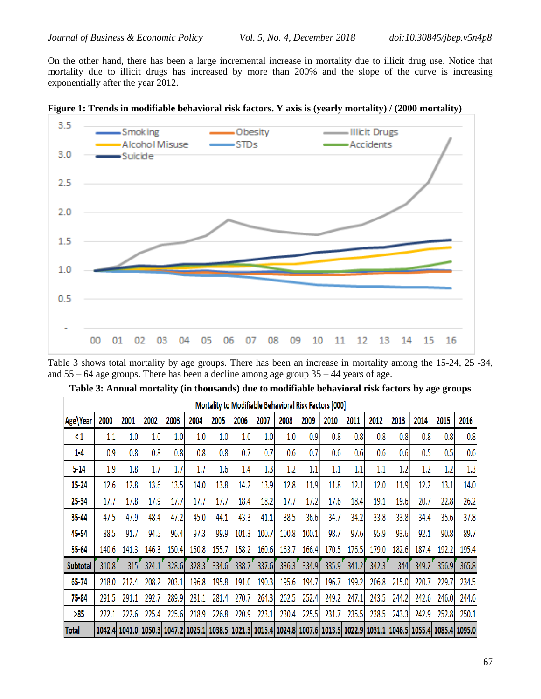On the other hand, there has been a large incremental increase in mortality due to illicit drug use. Notice that mortality due to illicit drugs has increased by more than 200% and the slope of the curve is increasing exponentially after the year 2012.



|  |  |  | Figure 1: Trends in modifiable behavioral risk factors. Y axis is (yearly mortality) / (2000 mortality) |
|--|--|--|---------------------------------------------------------------------------------------------------------|
|  |  |  |                                                                                                         |

Table 3 shows total mortality by age groups. There has been an increase in mortality among the 15-24, 25 -34, and 55 – 64 age groups. There has been a decline among age group 35 – 44 years of age.

|                 | Mortality to Modifiable Behavioral Risk Factors [000] |       |       |       |         |       |       |         |       |       |       |       |       |       |       |                                                                                                                                                      |       |
|-----------------|-------------------------------------------------------|-------|-------|-------|---------|-------|-------|---------|-------|-------|-------|-------|-------|-------|-------|------------------------------------------------------------------------------------------------------------------------------------------------------|-------|
| Age Year        | 2000                                                  | 2001  | 2002  | 2003  | 2004    | 2005  | 2006  | 2007    | 2008  | 2009  | 2010  | 2011  | 2012  | 2013  | 2014  | 2015                                                                                                                                                 | 2016  |
| <1              | 1.1                                                   | 1.0   | 1.0   | 1.0   | $1.0\,$ | 1.0   | 1.0   | $1.0\,$ | 1.0   | 0.9   | 0.8   | 0.8   | 0.8   | 0.8   | 0.8   | 0.8                                                                                                                                                  | 0.8   |
| $1-4$           | 0.9                                                   | 0.8   | 0.8   | 0.8   | 0.8     | 0.8   | 0.7   | 0.7     | 0.6   | 0.7   | 0.6   | 0.6   | 0.6   | 0.6   | 0.5   | 0.5                                                                                                                                                  | 0.6   |
| 5-14            | 1.9                                                   | 1.8   | 1.7   | 1.7   | 1.7     | 1.6   | 1.4   | 1.3     | 1.2   | 1.1   | 1.1   | 1.1   | 1.1   | 1.2   | 1.2   | 1.2                                                                                                                                                  | 1.3   |
| 15-24           | 12.6                                                  | 12.8  | 13.6  | 13.5  | 14.0    | 13.8  | 14.2  | 13.9    | 12.8  | 11.9  | 11.8  | 12.1  | 12.0  | 11.9  | 12.2  | 13.1                                                                                                                                                 | 14.0  |
| 25-34           | 17.7                                                  | 17.8  | 17.9  | 17.7  | 17.7    | 17.7  | 18.4  | 18.2    | 17.7  | 17.2  | 17.6  | 18.4  | 19.1  | 19.6  | 20.7  | 22.8                                                                                                                                                 | 26.2  |
| 35-44           | 47.5                                                  | 47.9  | 48.4  | 47.2  | 45.0    | 44.1  | 43.3  | 41.1    | 38.5  | 36.6  | 34.7  | 34.2  | 33.8  | 33.8  | 34.4  | 35.6                                                                                                                                                 | 37.8  |
| 45-54           | 88.5                                                  | 91.7  | 94.5  | 96.4  | 97.3    | 99.9  | 101.3 | 100.7   | 100.8 | 100.1 | 98.7  | 97.6  | 95.9  | 93.6  | 92.1  | 90.8                                                                                                                                                 | 89.7  |
| 55-64           | 140.6                                                 | 141.3 | 146.3 | 150.4 | 150.8   | 155.7 | 158.2 | 160.6   | 163.7 | 166.4 | 170.5 | 176.5 | 179.0 | 182.6 | 187.4 | 192.2                                                                                                                                                | 195.4 |
| <b>Subtotal</b> | 310.8                                                 | 315   | 324.1 | 328.6 | 328.3   | 334.6 | 338.7 | 337.6   | 336.3 | 334.9 | 335.9 | 341.2 | 342.3 | 344   | 349.2 | 356.9                                                                                                                                                | 365.8 |
| $65 - 74$       | 218.0                                                 | 212.4 | 208.2 | 203.1 | 196.8   | 195.8 | 191.0 | 190.3   | 195.6 | 194.7 | 196.7 | 199.2 | 206.8 | 215.0 | 220.7 | 229.7                                                                                                                                                | 234.5 |
| 75-84           | 291.5                                                 | 291.1 | 292.7 | 289.9 | 281.1   | 281.4 | 270.7 | 264.3   | 262.5 | 252.4 | 249.2 | 247.1 | 243.5 | 244.2 | 242.6 | 246.0                                                                                                                                                | 244.6 |
| >85             | 222.1                                                 | 222.6 | 225.4 | 225.6 | 218.9   | 226.8 | 220.9 | 223.1   | 230.4 | 225.5 | 231.7 | 235.5 | 238.5 | 243.3 | 242.9 | 252.8                                                                                                                                                | 250.1 |
| Total           |                                                       |       |       |       |         |       |       |         |       |       |       |       |       |       |       | 1042.4 1041.0   1050.3   1047.2   1025.1   1038.5   1021.3   1015.4   1024.8   1007.6   1013.5   1022.9   1031.1   1046.5   1055.4   1085.4   1095.0 |       |

**Table 3: Annual mortality (in thousands) due to modifiable behavioral risk factors by age groups**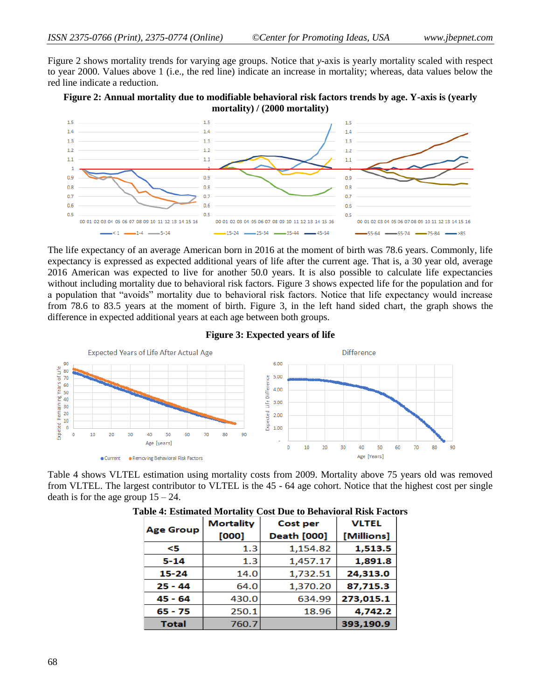Figure 2 shows mortality trends for varying age groups. Notice that *y*-axis is yearly mortality scaled with respect to year 2000. Values above 1 (i.e., the red line) indicate an increase in mortality; whereas, data values below the red line indicate a reduction.





The life expectancy of an average American born in 2016 at the moment of birth was 78.6 years. Commonly, life expectancy is expressed as expected additional years of life after the current age. That is, a 30 year old, average 2016 American was expected to live for another 50.0 years. It is also possible to calculate life expectancies without including mortality due to behavioral risk factors. Figure 3 shows expected life for the population and for a population that "avoids" mortality due to behavioral risk factors. Notice that life expectancy would increase from 78.6 to 83.5 years at the moment of birth. Figure 3, in the left hand sided chart, the graph shows the difference in expected additional years at each age between both groups.

#### **Figure 3: Expected years of life**



Table 4 shows VLTEL estimation using mortality costs from 2009. Mortality above 75 years old was removed from VLTEL. The largest contributor to VLTEL is the 45 - 64 age cohort. Notice that the highest cost per single death is for the age group  $15 - 24$ .

| <b>Age Group</b> | <b>Mortality</b><br>[000] | <b>Cost per</b><br><b>Death [000]</b> | <b>VLTEL</b><br>[Millions] |
|------------------|---------------------------|---------------------------------------|----------------------------|
| <5               | 1.3                       | 1,154.82                              | 1,513.5                    |
| $5 - 14$         | 1.3                       | 1,457.17                              | 1,891.8                    |
| $15 - 24$        | 14.0                      | 1,732.51                              | 24,313.0                   |
| $25 - 44$        | 64.0                      | 1,370.20                              | 87,715.3                   |
| $45 - 64$        | 430.0                     | 634.99                                | 273,015.1                  |
| $65 - 75$        | 250.1                     | 18.96                                 | 4,742.2                    |
| <b>Total</b>     | 760.7                     |                                       | 393,190.9                  |

|  |  |  | Table 4: Estimated Mortality Cost Due to Behavioral Risk Factors |
|--|--|--|------------------------------------------------------------------|
|  |  |  |                                                                  |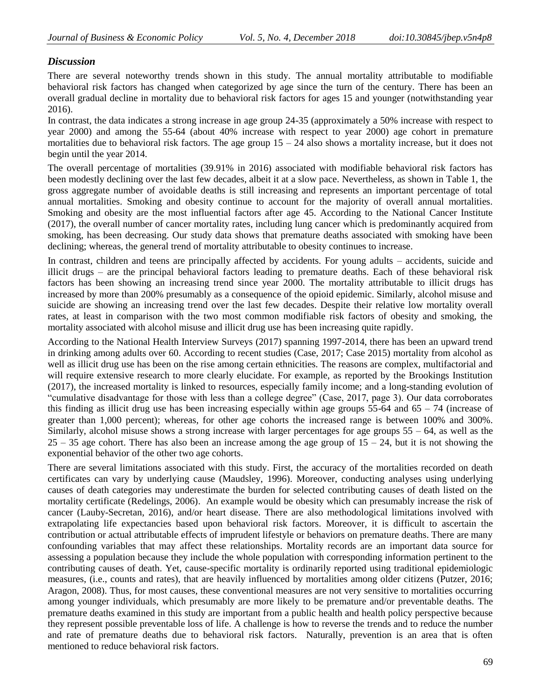# *Discussion*

There are several noteworthy trends shown in this study. The annual mortality attributable to modifiable behavioral risk factors has changed when categorized by age since the turn of the century. There has been an overall gradual decline in mortality due to behavioral risk factors for ages 15 and younger (notwithstanding year 2016).

In contrast, the data indicates a strong increase in age group 24-35 (approximately a 50% increase with respect to year 2000) and among the 55-64 (about 40% increase with respect to year 2000) age cohort in premature mortalities due to behavioral risk factors. The age group  $15 - 24$  also shows a mortality increase, but it does not begin until the year 2014.

The overall percentage of mortalities (39.91% in 2016) associated with modifiable behavioral risk factors has been modestly declining over the last few decades, albeit it at a slow pace. Nevertheless, as shown in Table 1, the gross aggregate number of avoidable deaths is still increasing and represents an important percentage of total annual mortalities. Smoking and obesity continue to account for the majority of overall annual mortalities. Smoking and obesity are the most influential factors after age 45. According to the National Cancer Institute (2017), the overall number of cancer mortality rates, including lung cancer which is predominantly acquired from smoking, has been decreasing. Our study data shows that premature deaths associated with smoking have been declining; whereas, the general trend of mortality attributable to obesity continues to increase.

In contrast, children and teens are principally affected by accidents. For young adults – accidents, suicide and illicit drugs – are the principal behavioral factors leading to premature deaths. Each of these behavioral risk factors has been showing an increasing trend since year 2000. The mortality attributable to illicit drugs has increased by more than 200% presumably as a consequence of the opioid epidemic. Similarly, alcohol misuse and suicide are showing an increasing trend over the last few decades. Despite their relative low mortality overall rates, at least in comparison with the two most common modifiable risk factors of obesity and smoking, the mortality associated with alcohol misuse and illicit drug use has been increasing quite rapidly.

According to the National Health Interview Surveys (2017) spanning 1997-2014, there has been an upward trend in drinking among adults over 60. According to recent studies (Case, 2017; Case 2015) mortality from alcohol as well as illicit drug use has been on the rise among certain ethnicities. The reasons are complex, multifactorial and will require extensive research to more clearly elucidate. For example, as reported by the Brookings Institution (2017), the increased mortality is linked to resources, especially family income; and a long-standing evolution of "cumulative disadvantage for those with less than a college degree" (Case, 2017, page 3). Our data corroborates this finding as illicit drug use has been increasing especially within age groups  $55-64$  and  $65 - 74$  (increase of greater than 1,000 percent); whereas, for other age cohorts the increased range is between 100% and 300%. Similarly, alcohol misuse shows a strong increase with larger percentages for age groups 55 – 64, as well as the  $25 - 35$  age cohort. There has also been an increase among the age group of  $15 - 24$ , but it is not showing the exponential behavior of the other two age cohorts.

There are several limitations associated with this study. First, the accuracy of the mortalities recorded on death certificates can vary by underlying cause (Maudsley, 1996). Moreover, conducting analyses using underlying causes of death categories may underestimate the burden for selected contributing causes of death listed on the mortality certificate (Redelings, 2006). An example would be obesity which can presumably increase the risk of cancer (Lauby-Secretan, 2016), and/or heart disease. There are also methodological limitations involved with extrapolating life expectancies based upon behavioral risk factors. Moreover, it is difficult to ascertain the contribution or actual attributable effects of imprudent lifestyle or behaviors on premature deaths. There are many confounding variables that may affect these relationships. Mortality records are an important data source for assessing a population because they include the whole population with corresponding information pertinent to the contributing causes of death. Yet, cause-specific mortality is ordinarily reported using traditional epidemiologic measures, (i.e., counts and rates), that are heavily influenced by mortalities among older citizens (Putzer, 2016; Aragon, 2008). Thus, for most causes, these conventional measures are not very sensitive to mortalities occurring among younger individuals, which presumably are more likely to be premature and/or preventable deaths. The premature deaths examined in this study are important from a public health and health policy perspective because they represent possible preventable loss of life. A challenge is how to reverse the trends and to reduce the number and rate of premature deaths due to behavioral risk factors. Naturally, prevention is an area that is often mentioned to reduce behavioral risk factors.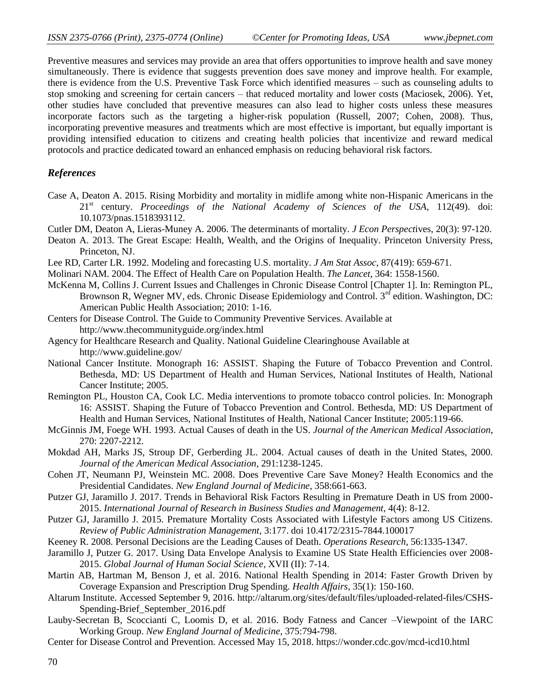Preventive measures and services may provide an area that offers opportunities to improve health and save money simultaneously. There is evidence that suggests prevention does save money and improve health. For example, there is evidence from the U.S. Preventive Task Force which identified measures – such as counseling adults to stop smoking and screening for certain cancers – that reduced mortality and lower costs (Maciosek, 2006). Yet, other studies have concluded that preventive measures can also lead to higher costs unless these measures incorporate factors such as the targeting a higher-risk population (Russell, 2007; Cohen, 2008). Thus, incorporating preventive measures and treatments which are most effective is important, but equally important is providing intensified education to citizens and creating health policies that incentivize and reward medical protocols and practice dedicated toward an enhanced emphasis on reducing behavioral risk factors.

#### *References*

- Case A, Deaton A. 2015. Rising Morbidity and mortality in midlife among white non-Hispanic Americans in the 21 st century. *Proceedings of the National Academy of Sciences of the USA*, 112(49). doi: 10.1073/pnas.1518393112.
- Cutler DM, Deaton A, Lieras-Muney A. 2006. The determinants of mortality. *J Econ Perspect*ives, 20(3): 97-120.
- Deaton A. 2013. The Great Escape: Health, Wealth, and the Origins of Inequality. Princeton University Press, Princeton, NJ.
- Lee RD, Carter LR. 1992. Modeling and forecasting U.S. mortality. *J Am Stat Assoc*, 87(419): 659-671.
- Molinari NAM. 2004. The Effect of Health Care on Population Health. *The Lancet*, 364: 1558-1560.
- McKenna M, Collins J. Current Issues and Challenges in Chronic Disease Control [Chapter 1]. In: Remington PL, Brownson R, Wegner MV, eds. Chronic Disease Epidemiology and Control. 3<sup>rd</sup> edition. Washington, DC: American Public Health Association; 2010: 1-16.
- Centers for Disease Control. The Guide to Community Preventive Services. Available at <http://www.thecommunityguide.org/index.html>
- Agency for Healthcare Research and Quality. National Guideline Clearinghouse Available at <http://www.guideline.gov/>
- National Cancer Institute. Monograph 16: ASSIST. Shaping the Future of Tobacco Prevention and Control. Bethesda, MD: US Department of Health and Human Services, National Institutes of Health, National Cancer Institute; 2005.
- Remington PL, Houston CA, Cook LC. Media interventions to promote tobacco control policies. In: Monograph 16: ASSIST. Shaping the Future of Tobacco Prevention and Control. Bethesda, MD: US Department of Health and Human Services, National Institutes of Health, National Cancer Institute; 2005:119-66.
- McGinnis JM, Foege WH. 1993. Actual Causes of death in the US. *Journal of the American Medical Association*, 270: 2207-2212.
- Mokdad AH, Marks JS, Stroup DF, Gerberding JL. 2004. Actual causes of death in the United States, 2000. *Journal of the American Medical Association*, 291:1238-1245.
- Cohen JT, Neumann PJ, Weinstein MC. 2008. Does Preventive Care Save Money? Health Economics and the Presidential Candidates. *New England Journal of Medicine*, 358:661-663.
- Putzer GJ, Jaramillo J. 2017. Trends in Behavioral Risk Factors Resulting in Premature Death in US from 2000- 2015. *International Journal of Research in Business Studies and Management,* 4(4): 8-12.
- Putzer GJ, Jaramillo J. 2015. Premature Mortality Costs Associated with Lifestyle Factors among US Citizens. *Review of Public Administration Management*, 3:177. doi 10.4172/2315-7844.100017
- Keeney R. 2008. Personal Decisions are the Leading Causes of Death. *Operations Research*, 56:1335-1347.
- Jaramillo J, Putzer G. 2017. Using Data Envelope Analysis to Examine US State Health Efficiencies over 2008- 2015. *Global Journal of Human Social Science*, XVII (II): 7-14.
- Martin AB, Hartman M, Benson J, et al. 2016. National Health Spending in 2014: Faster Growth Driven by Coverage Expansion and Prescription Drug Spending. *Health Affairs*, 35(1): 150-160.
- Altarum Institute. Accessed September 9, 2016. [http://altarum.org/sites/default/files/uploaded-related-files/CSHS-](http://altarum.org/sites/default/files/uploaded-related-files/CSHS-Spending-Brief_September_2016.pdf)[Spending-Brief\\_September\\_2016.pdf](http://altarum.org/sites/default/files/uploaded-related-files/CSHS-Spending-Brief_September_2016.pdf)
- Lauby-Secretan B, Scoccianti C, Loomis D, et al. 2016. Body Fatness and Cancer –Viewpoint of the IARC Working Group. *New England Journal of Medicine*, 375:794-798.
- Center for Disease Control and Prevention. Accessed May 15, 2018.<https://wonder.cdc.gov/mcd-icd10.html>